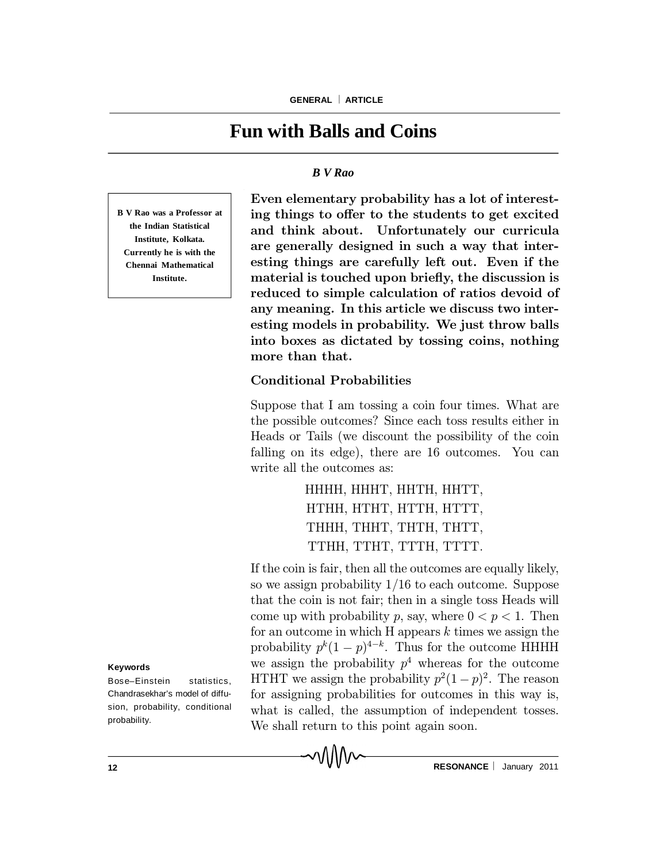# **Fun with Balls and Coins**

#### *B V Rao*

**B V Rao was a Professor at the Indian Statistical Institute, Kolkata. Currently he is with the Chennai Mathematical Institute.**

Even elementary probability has a lot of interesting things to offer to the students to get excited and think about. Unfortunately our curricula are generally designed in such a way that interesting things are carefully left out. Even if the material is touched upon briefly, the discussion is reduced to simple calculation of ratios devoid of any meaning. In this article we discuss two interesting models in probability. We just throw balls into boxes as dictated by tossing coins, nothing more than that.

### Conditional Probabilities

MMM

Suppose that I am tossing a coin four times. What are the possible outcomes? Since each toss results either in Heads or Tails (we discount the possibility of the coin falling on its edge), there are 16 outcomes. You can write all the outcomes as:

> HHHH, HHHT, HHTH, HHTT, HTHH, HTHT, HTTH, HTTT, THHH, THHT, THTH, THTT, TTHH, TTHT, TTTH, TTTT.

If the coin is fair, then all the outcomes are equally likely, so we assign probability  $1/16$  to each outcome. Suppose that the coin is not fair; then in a single toss Heads will come up with probability p, say, where  $0 < p < 1$ . Then for an outcome in which  $H$  appears  $k$  times we assign the probability  $p^k(1-p)^{4-k}$ . Thus for the outcome HHHH we assign the probability  $p<sup>4</sup>$  whereas for the outcome HTHT we assign the probability  $p^2(1-p)^2$ . The reason for assigning probabilities for outcomes in this way is, what is called, the assumption of independent tosses. We shall return to this point again soon.

**Keywords**

Bose–Einstein statistics, Chandrasekhar's model of diffusion, probability, conditional probability.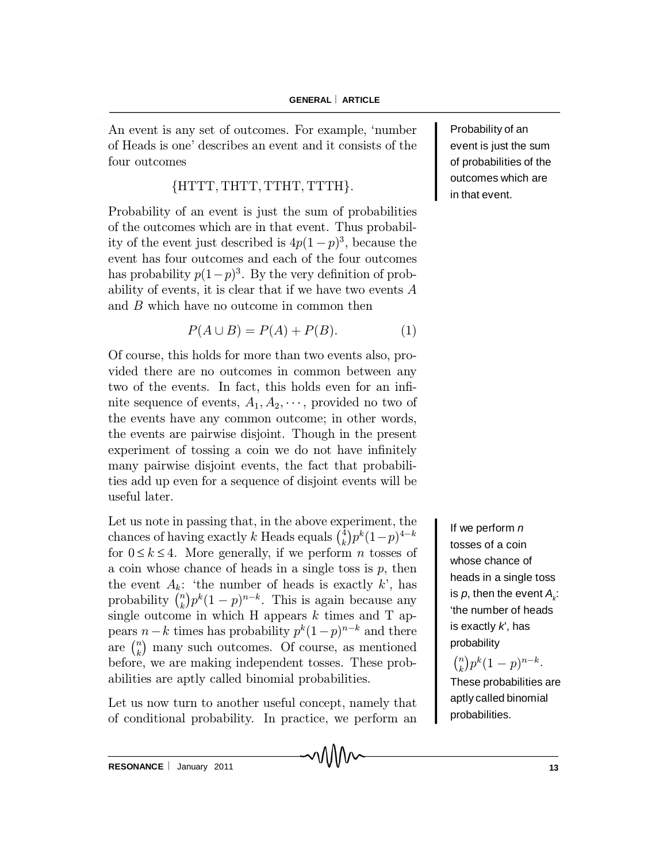An event is any set of outcomes. For example, `number of Heads is one' describes an event and it consists of the four outcomes

## ${HTTT, THTT, TTHT, TTTH}.$

Probability of an event is just the sum of probabilities of the outcomes which are in that event. Thus probability of the event just described is  $4p(1-p)^3$ , because the event has four outcomes and each of the four outcomes has probability  $p(1-p)^3$ . By the very definition of probability of events, it is clear that if we have two events A and B which have no outcome in common then

$$
P(A \cup B) = P(A) + P(B). \tag{1}
$$

Of course, this holds for more than two events also, provided there are no outcomes in common between any two of the events. In fact, this holds even for an infinite sequence of events,  $A_1, A_2, \cdots$ , provided no two of the events have any common outcome; in other words, the events are pairwise disjoint. Though in the present experiment of tossing a coin we do not have infinitely many pairwise disjoint events, the fact that probabilities add up even for a sequence of disjoint events will be useful later.

Let us note in passing that, in the above experiment, the chances of having exactly k Heads equals  $\binom{4}{k}$  $\binom{4}{k} p^k (1-p)^{4-k}$ for  $0 \le k \le 4$ . More generally, if we perform *n* tosses of a coin whose chance of heads in a single toss is  $p$ , then the event  $A_k$ : 'the number of heads is exactly k', has probability  $\binom{n}{k}$  $\binom{n}{k} p^k (1-p)^{n-k}$ . This is again because any single outcome in which H appears  $k$  times and T appears  $n-k$  times has probability  $p^k(1-p)^{n-k}$  and there are  $\binom{n}{k}$  $\binom{n}{k}$  many such outcomes. Of course, as mentioned before, we are making independent tosses. These probabilities are aptly called binomial probabilities.

Let us now turn to another useful concept, namely that of conditional probability. In practice, we perform an

MMM

Probability of an event is just the sum of probabilities of the outcomes which are in that event.

If we perform *n* tosses of a coin whose chance of heads in a single toss is  $\rho$ , then the event  $A_{\scriptscriptstyle k}$ : 'the number of heads is exactly *k*', has probability

 $\binom{n}{k}$  $_{k}^{n}$ ) $p^{k}(1-p)^{n-k}.$ These probabilities are aptly called binomial probabilities.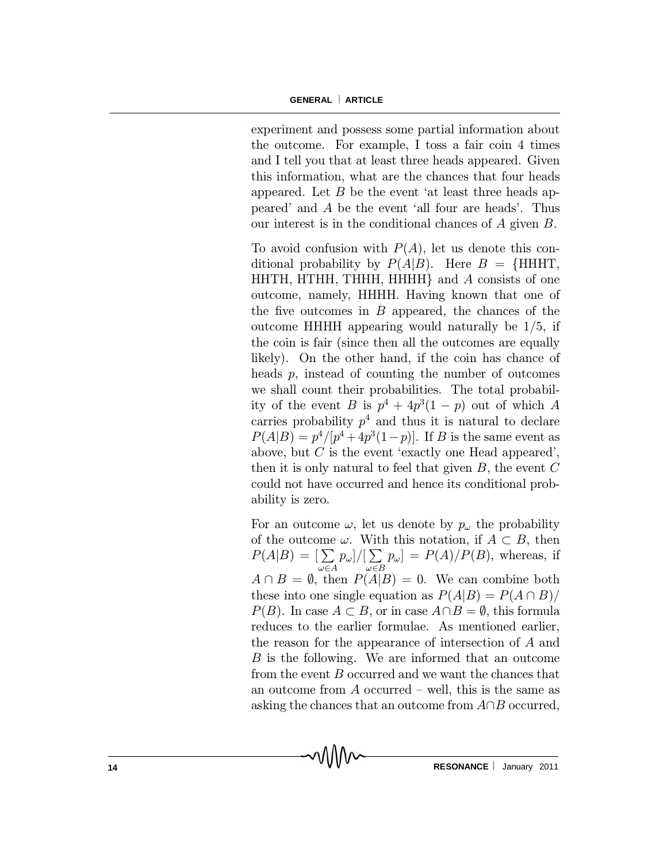experiment and possess some partial information about the outcome. For example, I toss a fair coin 4 times and I tell you that at least three heads appeared. Given this information, what are the chances that four heads appeared. Let  $B$  be the event 'at least three heads appeared' and A be the event `all four are heads'. Thus our interest is in the conditional chances of A given B.

To avoid confusion with  $P(A)$ , let us denote this conditional probability by  $P(A|B)$ . Here  $B = \{HHHT,$ HHTH, HTHH, THHH, HHHH $\}$  and A consists of one outcome, namely, HHHH. Having known that one of the five outcomes in  $B$  appeared, the chances of the outcome HHHH appearing would naturally be  $1/5$ , if the coin is fair (since then all the outcomes are equally likely). On the other hand, if the coin has chance of heads  $p$ , instead of counting the number of outcomes we shall count their probabilities. The total probability of the event B is  $p^4 + 4p^3(1-p)$  out of which A carries probability  $p^4$  and thus it is natural to declare  $P(A|B) = p^4/[p^4 + 4p^3(1-p)]$ . If B is the same event as above, but  $C$  is the event 'exactly one Head appeared', then it is only natural to feel that given  $B$ , the event  $C$ could not have occurred and hence its conditional probability is zero.

For an outcome  $\omega$ , let us denote by  $p_{\omega}$  the probability of the outcome  $\omega$ . With this notation, if  $A \subset B$ , then  $P(A|B) = \left[\sum_{n=1}^{\infty} \right]$  $\omega{\in}A$  $p_{\omega}$ ]/[ $\sum$  $\omega{\in}B$  $[p_\omega] = P(A)/P(B)$ , whereas, if  $A \cap B = \emptyset$ , then  $P(A|B) = 0$ . We can combine both these into one single equation as  $P(A|B) = P(A \cap B)$  $P(B)$ . In case  $A \subset B$ , or in case  $A \cap B = \emptyset$ , this formula reduces to the earlier formulae. As mentioned earlier, the reason for the appearance of intersection of A and B is the following. We are informed that an outcome from the event B occurred and we want the chances that an outcome from  $A$  occurred – well, this is the same as asking the chances that an outcome from  $A\cap B$  occurred,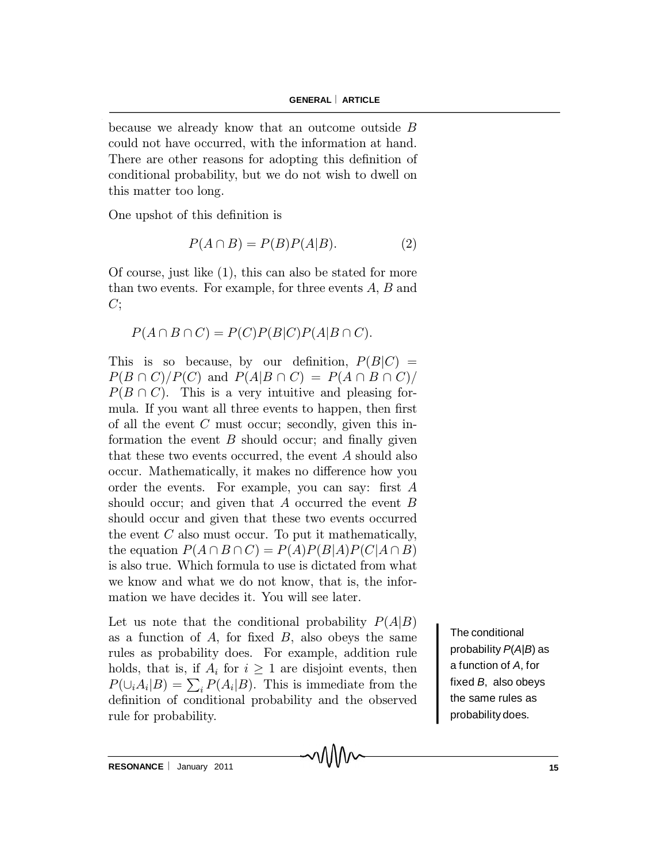because we already know that an outcome outside B could not have occurred, with the information at hand. There are other reasons for adopting this definition of conditional probability, but we do not wish to dwell on this matter too long.

One upshot of this definition is

$$
P(A \cap B) = P(B)P(A|B). \tag{2}
$$

Of course, just like (1), this can also be stated for more than two events. For example, for three events  $A, B$  and  $C;$ 

$$
P(A \cap B \cap C) = P(C)P(B|C)P(A|B \cap C).
$$

This is so because, by our definition,  $P(B|C) =$  $P(B \cap C)/P(C)$  and  $P(A|B \cap C) = P(A \cap B \cap C)/P(C)$  $P(B \cap C)$ . This is a very intuitive and pleasing formula. If you want all three events to happen, then first of all the event  $C$  must occur; secondly, given this information the event  $B$  should occur; and finally given that these two events occurred, the event A should also occur. Mathematically, it makes no difference how you order the events. For example, you can say: first  $A$ should occur; and given that  $A$  occurred the event  $B$ should occur and given that these two events occurred the event  $C$  also must occur. To put it mathematically, the equation  $P(A \cap B \cap C) = P(A)P(B|A)P(C|A \cap B)$ is also true. Which formula to use is dictated from what we know and what we do not know, that is, the information we have decides it. You will see later.

Let us note that the conditional probability  $P(A|B)$ as a function of  $A$ , for fixed  $B$ , also obeys the same rules as probability does. For example, addition rule holds, that is, if  $A_i$  for  $i \geq 1$  are disjoint events, then  $P(\bigcup_i A_i | B) = \sum_i P(A_i | B)$ . This is immediate from the definition of conditional probability and the observed rule for probability.

MMW

The conditional probability *P*(*A*|*B*) as a function of *A*, for fixed *B*, also obeys the same rules as probability does.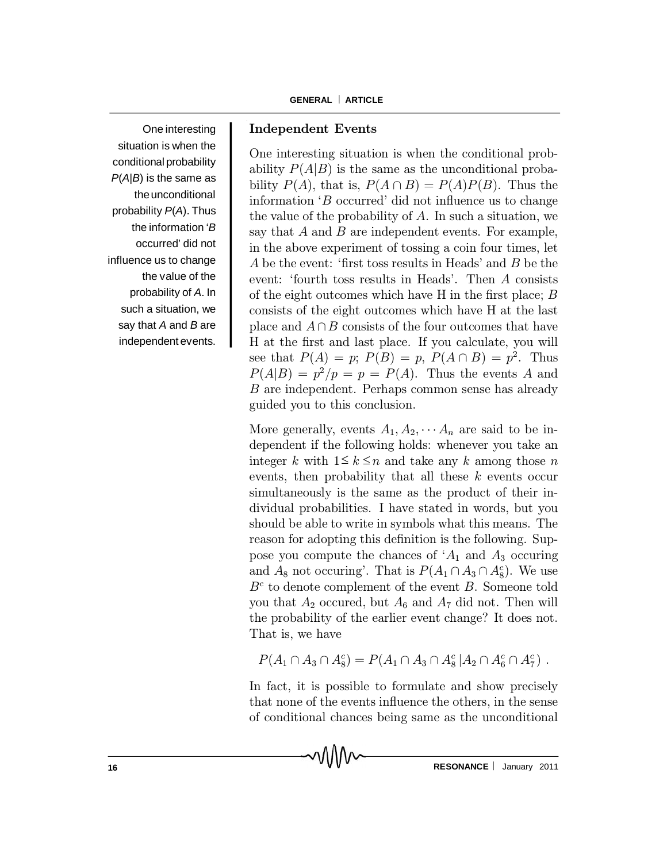One interesting situation is when the conditional probability *P*(*A*|*B*) is the same as the unconditional probability *P*(*A*). Thus the information '*B* occurred' did not influence us to change the value of the probability of *A*. In such a situation, we say that *A* and *B* are independent events.

### Independent Events

One interesting situation is when the conditional probability  $P(A|B)$  is the same as the unconditional probability  $P(A)$ , that is,  $P(A \cap B) = P(A)P(B)$ . Thus the information  $B$  occurred' did not influence us to change the value of the probability of A. In such a situation, we say that  $A$  and  $B$  are independent events. For example, in the above experiment of tossing a coin four times, let A be the event: 'first toss results in Heads' and  $B$  be the event: 'fourth toss results in Heads'. Then A consists of the eight outcomes which have  $H$  in the first place;  $B$ consists of the eight outcomes which have H at the last place and  $A\cap B$  consists of the four outcomes that have H at the first and last place. If you calculate, you will see that  $P(A) = p$ ;  $P(B) = p$ ,  $P(A \cap B) = p^2$ . Thus  $P(A|B) = p^2/p = p = P(A)$ . Thus the events A and B are independent. Perhaps common sense has already guided you to this conclusion.

More generally, events  $A_1, A_2, \cdots, A_n$  are said to be independent if the following holds: whenever you take an integer k with  $1 \leq k \leq n$  and take any k among those n events, then probability that all these  $k$  events occur simultaneously is the same as the product of their individual probabilities. I have stated in words, but you should be able to write in symbols what this means. The reason for adopting this definition is the following. Suppose you compute the chances of  $A_1$  and  $A_3$  occuring and  $A_8$  not occuring'. That is  $P(A_1 \cap A_3 \cap A_8^c)$ . We use  $B<sup>c</sup>$  to denote complement of the event B. Someone told you that  $A_2$  occurred, but  $A_6$  and  $A_7$  did not. Then will the probability of the earlier event change? It does not. That is, we have

$$
P(A_1 \cap A_3 \cap A_8^c) = P(A_1 \cap A_3 \cap A_8^c | A_2 \cap A_6^c \cap A_7^c).
$$

In fact, it is possible to formulate and show precisely that none of the events influence the others, in the sense of conditional chances being same as the unconditional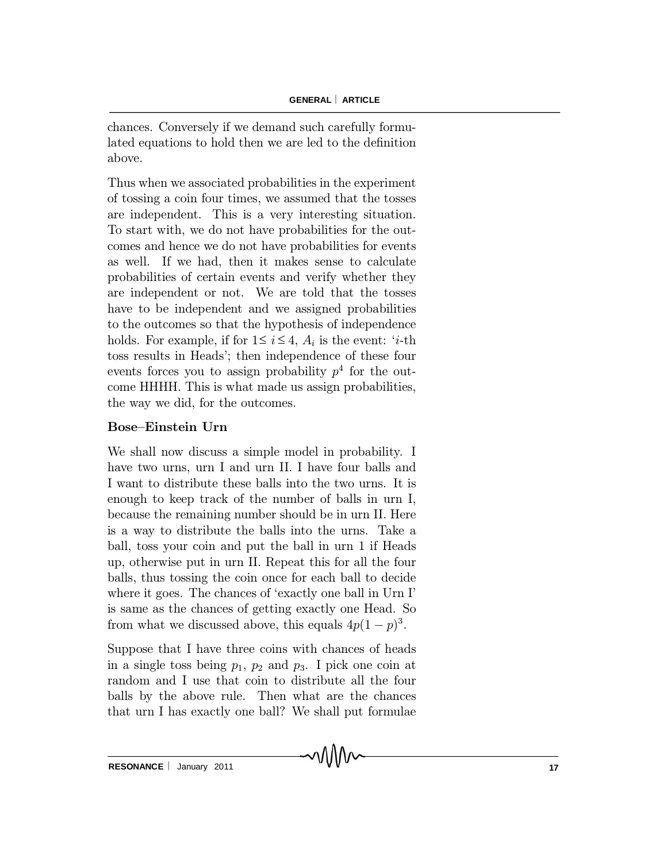chances. Conversely if we demand such carefully formulated equations to hold then we are led to the definition above.

Thus when we associated probabilities in the experiment of tossing a coin four times, we assumed that the tosses are independent. This is a very interesting situation. To start with, we do not have probabilities for the outcomes and hence we do not have probabilities for events as well. If we had, then it makes sense to calculate probabilities of certain events and verify whether they are independent or not. We are told that the tosses have to be independent and we assigned probabilities to the outcomes so that the hypothesis of independence holds. For example, if for  $1 \le i \le 4$ ,  $A_i$  is the event: '*i*-th toss results in Heads'; then independence of these four events forces you to assign probability  $p<sup>4</sup>$  for the outcome HHHH. This is what made us assign probabilities, the way we did, for the outcomes.

### Bose-Einstein Urn

We shall now discuss a simple model in probability. I have two urns, urn I and urn II. I have four balls and I want to distribute these balls into the two urns. It is enough to keep track of the number of balls in urn I, because the remaining number should be in urn II. Here is a way to distribute the balls into the urns. Take a ball, toss your coin and put the ball in urn 1 if Heads up, otherwise put in urn II. Repeat this for all the four balls, thus tossing the coin once for each ball to decide where it goes. The chances of 'exactly one ball in Urn I' is same as the chances of getting exactly one Head. So from what we discussed above, this equals  $4p(1-p)^3$ .

Suppose that I have three coins with chances of heads in a single toss being  $p_1$ ,  $p_2$  and  $p_3$ . I pick one coin at random and I use that coin to distribute all the four balls by the above rule. Then what are the chances that urn I has exactly one ball? We shall put formulae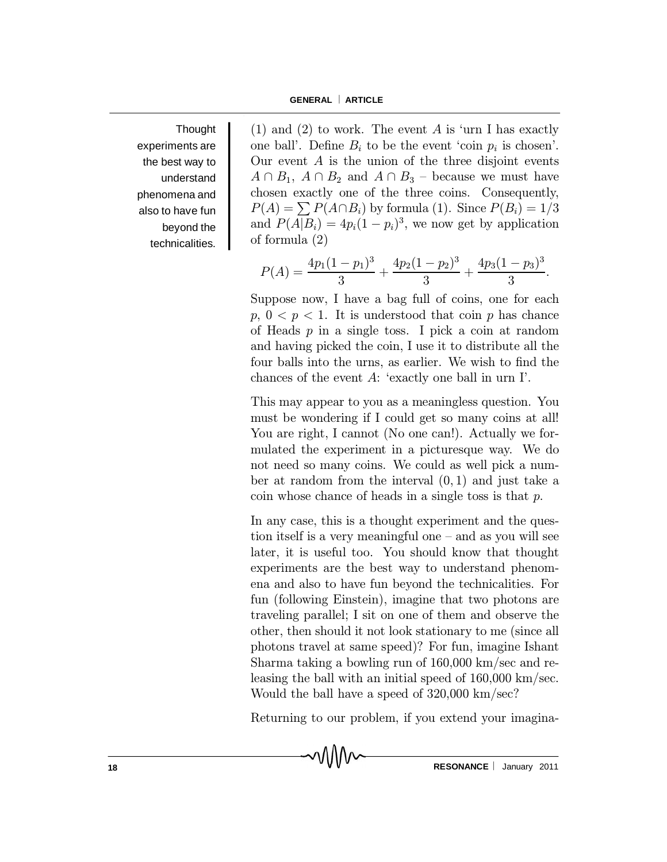**Thought** experiments are the best way to understand phenomena and also to have fun beyond the technicalities.

(1) and (2) to work. The event A is 'urn I has exactly one ball'. Define  $B_i$  to be the event 'coin  $p_i$  is chosen'. Our event  $A$  is the union of the three disjoint events  $A \cap B_1$ ,  $A \cap B_2$  and  $A \cap B_3$  – because we must have chosen exactly one of the three coins. Consequently,  $P(A) = \sum_{i} P(A \cap B_i)$  by formula (1). Since  $P(B_i) = 1/3$ and  $P(A|B_i) = 4p_i(1-p_i)^3$ , we now get by application of formula (2)

$$
P(A) = \frac{4p_1(1-p_1)^3}{3} + \frac{4p_2(1-p_2)^3}{3} + \frac{4p_3(1-p_3)^3}{3}.
$$

Suppose now, I have a bag full of coins, one for each  $p, 0 < p < 1$ . It is understood that coin p has chance of Heads  $p$  in a single toss. I pick a coin at random and having picked the coin, I use it to distribute all the four balls into the urns, as earlier. We wish to find the chances of the event  $A$ : 'exactly one ball in urn I'.

This may appear to you as a meaningless question. You must be wondering if I could get so many coins at all! You are right, I cannot (No one can!). Actually we formulated the experiment in a picturesque way. We do not need so many coins. We could as well pick a number at random from the interval  $(0,1)$  and just take a coin whose chance of heads in a single toss is that  $p$ .

In any case, this is a thought experiment and the question itself is a very meaningful one  $-$  and as you will see later, it is useful too. You should know that thought experiments are the best way to understand phenomena and also to have fun beyond the technicalities. For fun (following Einstein), imagine that two photons are traveling parallel; I sit on one of them and observe the other, then should it not look stationary to me (since all photons travel at same speed)? For fun, imagine Ishant Sharma taking a bowling run of 160,000 km/sec and releasing the ball with an initial speed of 160,000 km/sec. Would the ball have a speed of 320,000 km/sec?

Returning to our problem, if you extend your imagina-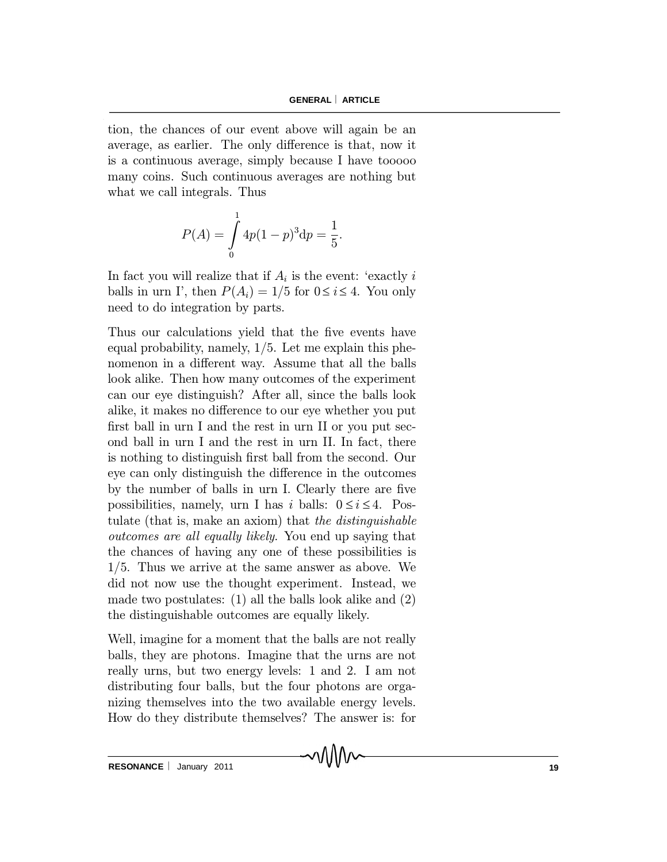tion, the chances of our event above will again be an average, as earlier. The only difference is that, now it is a continuous average, simply because I have tooooo many coins. Such continuous averages are nothing but what we call integrals. Thus

$$
P(A) = \int_{0}^{1} 4p(1-p)^{3} dp = \frac{1}{5}.
$$

In fact you will realize that if  $A_i$  is the event: 'exactly i balls in urn I', then  $P(A_i) = 1/5$  for  $0 \le i \le 4$ . You only need to do integration by parts.

Thus our calculations yield that the five events have equal probability, namely,  $1/5$ . Let me explain this phenomenon in a different way. Assume that all the balls look alike. Then how many outcomes of the experiment can our eye distinguish? After all, since the balls look alike, it makes no difference to our eye whether you put first ball in urn I and the rest in urn II or you put second ball in urn I and the rest in urn II. In fact, there is nothing to distinguish first ball from the second. Our eye can only distinguish the difference in the outcomes by the number of balls in urn I. Clearly there are five possibilities, namely, urn I has i balls:  $0 \le i \le 4$ . Postulate (that is, make an axiom) that the distinguishable outcomes are all equally likely. You end up saying that the chances of having any one of these possibilities is 1/5. Thus we arrive at the same answer as above. We did not now use the thought experiment. Instead, we made two postulates: (1) all the balls look alike and (2) the distinguishable outcomes are equally likely.

Well, imagine for a moment that the balls are not really balls, they are photons. Imagine that the urns are not really urns, but two energy levels: 1 and 2. I am not distributing four balls, but the four photons are organizing themselves into the two available energy levels. How do they distribute themselves? The answer is: for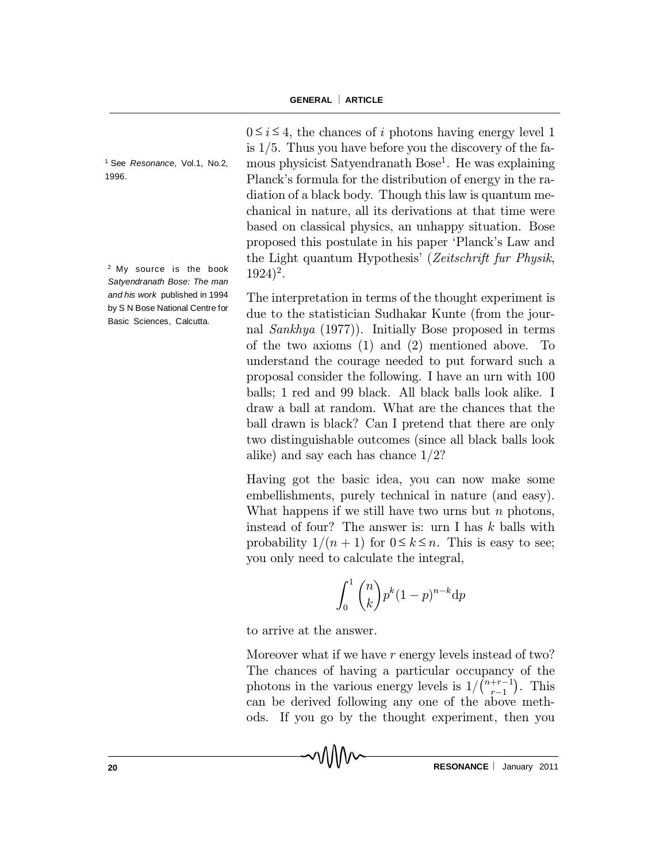<sup>1</sup> See *Resonance*, Vol.1, No.2, 1996.

<sup>2</sup> My source is the book *Satyendranath Bose: The man and his work* published in 1994 by S N Bose National Centre for Basic Sciences, Calcutta.

 $0 \le i \le 4$ , the chances of i photons having energy level 1 is  $1/5$ . Thus you have before you the discovery of the famous physicist Satyendranath Bose 1 . He was explaining Planck's formula for the distribution of energy in the radiation of a black body. Though this law is quantum mechanical in nature, all its derivations at that time were based on classical physics, an unhappy situation. Bose proposed this postulate in his paper `Planck's Law and the Light quantum Hypothesis' (Zeitschrift fur Physik, 1924) 2 .

The interpretation in terms of the thought experiment is due to the statistician Sudhakar Kunte (from the journal Sankhya (1977)). Initially Bose proposed in terms of the two axioms (1) and (2) mentioned above. To understand the courage needed to put forward such a proposal consider the following. I have an urn with 100 balls; 1 red and 99 black. All black balls look alike. I draw a ball at random. What are the chances that the ball drawn is black? Can I pretend that there are only two distinguishable outcomes (since all black balls look alike) and say each has chance 1/2?

Having got the basic idea, you can now make some embellishments, purely technical in nature (and easy). What happens if we still have two urns but  $n$  photons, instead of four? The answer is: urn I has k balls with probability  $1/(n + 1)$  for  $0 \le k \le n$ . This is easy to see; you only need to calculate the integral,

$$
\int_0^1 \binom{n}{k} p^k (1-p)^{n-k} \mathrm{d}p
$$

to arrive at the answer.

Moreover what if we have r energy levels instead of two? The chances of having a particular occupancy of the photons in the various energy levels is  $1/\binom{n+r-1}{r-1}$  $^{r-1}$ ¢ . This can be derived following any one of the above methods. If you go by the thought experiment, then you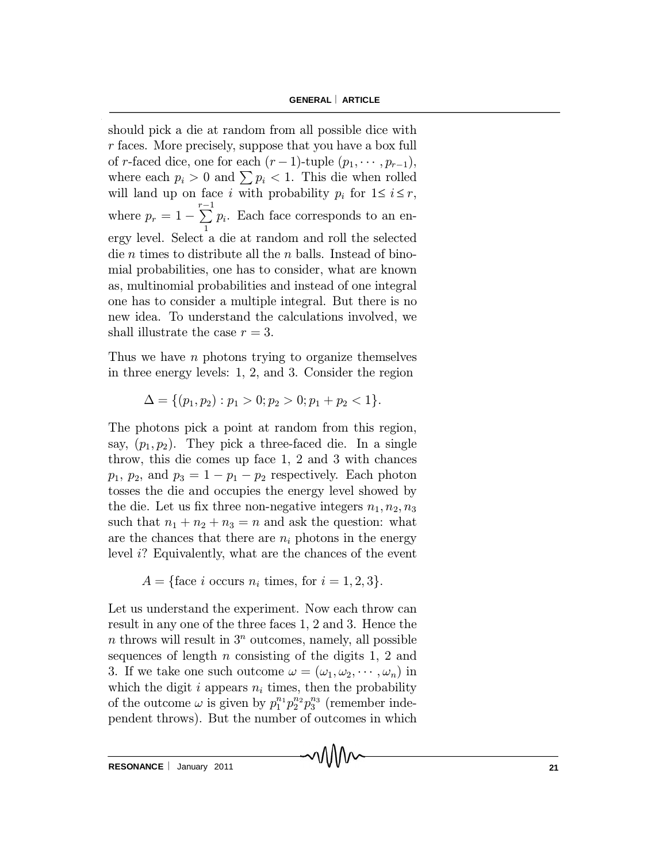should pick a die at random from all possible dice with r faces. More precisely, suppose that you have a box full of r-faced dice, one for each  $(r-1)$ -tuple  $(p_1, \dots, p_{r-1}),$ where each  $p_i > 0$  and  $\sum p_i < 1$ . This die when rolled will land up on face i with probability  $p_i$  for  $1 \le i \le r$ , where  $p_r = 1 - \sum_{1}^{r-1}$ 1 pi . Each face corresponds to an energy level. Select a die at random and roll the selected die *n* times to distribute all the *n* balls. Instead of binomial probabilities, one has to consider, what are known as, multinomial probabilities and instead of one integral one has to consider a multiple integral. But there is no new idea. To understand the calculations involved, we shall illustrate the case  $r = 3$ .

Thus we have  $n$  photons trying to organize themselves in three energy levels: 1, 2, and 3. Consider the region

$$
\Delta = \{ (p_1, p_2) : p_1 > 0; p_2 > 0; p_1 + p_2 < 1 \}.
$$

The photons pick a point at random from this region, say,  $(p_1, p_2)$ . They pick a three-faced die. In a single throw, this die comes up face 1, 2 and 3 with chances  $p_1, p_2,$  and  $p_3 = 1 - p_1 - p_2$  respectively. Each photon tosses the die and occupies the energy level showed by the die. Let us fix three non-negative integers  $n_1, n_2, n_3$ such that  $n_1 + n_2 + n_3 = n$  and ask the question: what are the chances that there are  $n_i$  photons in the energy level i? Equivalently, what are the chances of the event

 $A = \{\text{face } i \text{ occurs } n_i \text{ times, for } i = 1, 2, 3\}.$ 

Let us understand the experiment. Now each throw can result in any one of the three faces 1, 2 and 3. Hence the  $n$  throws will result in  $3<sup>n</sup>$  outcomes, namely, all possible sequences of length  $n$  consisting of the digits 1, 2 and 3. If we take one such outcome  $\omega = (\omega_1, \omega_2, \cdots, \omega_n)$  in which the digit i appears  $n_i$  times, then the probability of the outcome  $\omega$  is given by  $p_1^{n_1} p_2^{n_2} p_3^{n_3}$  (remember independent throws). But the number of outcomes in which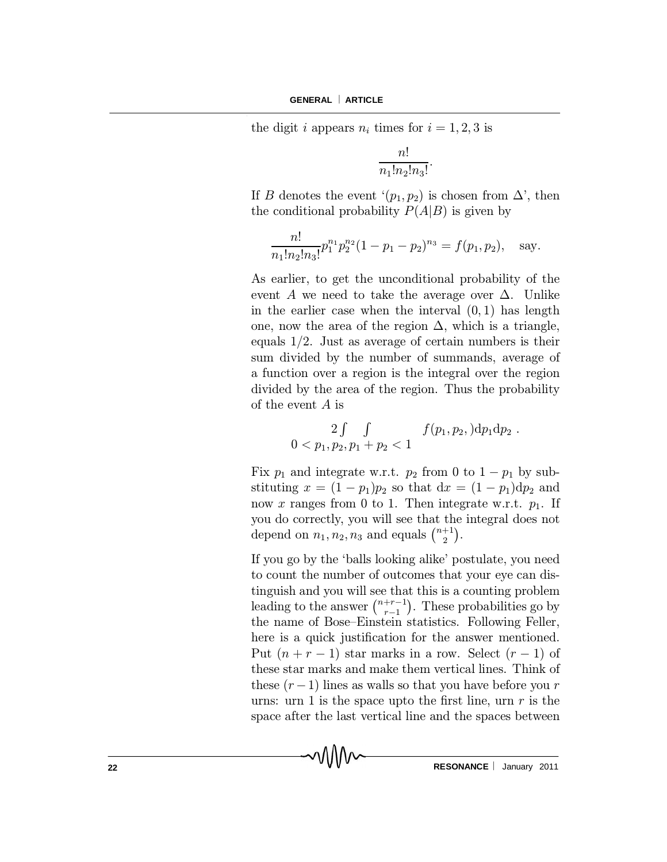the digit i appears  $n_i$  times for  $i = 1, 2, 3$  is

$$
\frac{n!}{n_1!n_2!n_3!}.
$$

If B denotes the event  $(p_1, p_2)$  is chosen from  $\Delta'$ , then the conditional probability  $P(A|B)$  is given by

$$
\frac{n!}{n_1!n_2!n_3!}p_1^{n_1}p_2^{n_2}(1-p_1-p_2)^{n_3}=f(p_1,p_2), \text{ say.}
$$

As earlier, to get the unconditional probability of the event A we need to take the average over  $\Delta$ . Unlike in the earlier case when the interval  $(0, 1)$  has length one, now the area of the region  $\Delta$ , which is a triangle, equals 1/2. Just as average of certain numbers is their sum divided by the number of summands, average of a function over a region is the integral over the region divided by the area of the region. Thus the probability of the event A is

$$
0 < p_1, p_2, p_1 + p_2 < 1
$$
  $f(p_1, p_2, )dp_1dp_2$ .

Fix  $p_1$  and integrate w.r.t.  $p_2$  from 0 to  $1 - p_1$  by substituting  $x = (1 - p_1)p_2$  so that  $dx = (1 - p_1)dp_2$  and now x ranges from 0 to 1. Then integrate w.r.t.  $p_1$ . If you do correctly, you will see that the integral does not depend on  $n_1, n_2, n_3$  and equals  $\binom{n+1}{2}$  $_{2}^{+1}$ ).

If you go by the `balls looking alike' postulate, you need to count the number of outcomes that your eye can distinguish and you will see that this is a counting problem leading to the answer  $\binom{n+r-1}{r-1}$  $r-1$ ¢ . These probabilities go by the name of Bose–Einstein statistics. Following Feller, here is a quick justification for the answer mentioned. Put  $(n + r - 1)$  star marks in a row. Select  $(r - 1)$  of these star marks and make them vertical lines. Think of these  $(r-1)$  lines as walls so that you have before you r urns: urn 1 is the space upto the first line, urn  $r$  is the space after the last vertical line and the spaces between

᠕᠕᠕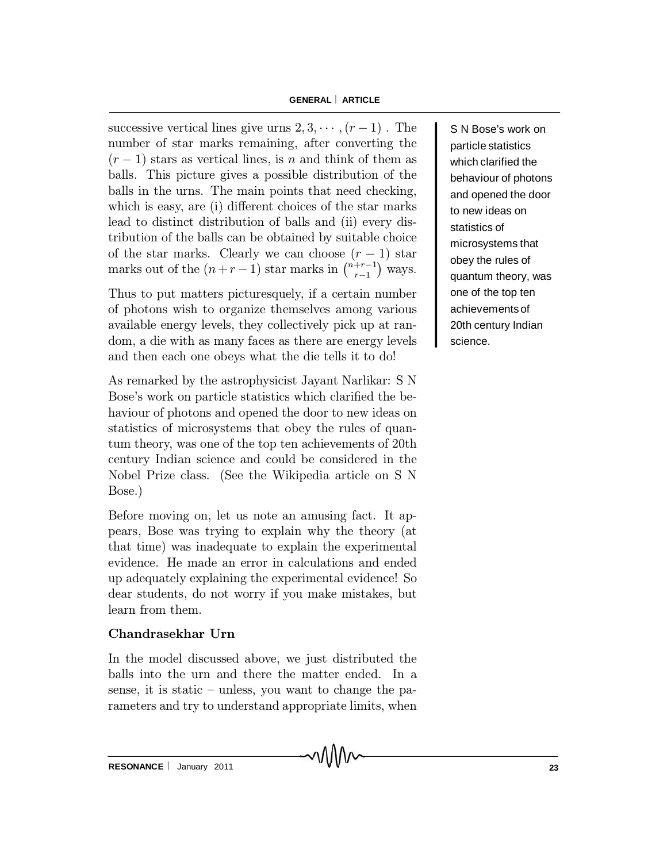successive vertical lines give urns  $2, 3, \cdots, (r-1)$ . The number of star marks remaining, after converting the  $(r-1)$  stars as vertical lines, is n and think of them as balls. This picture gives a possible distribution of the balls in the urns. The main points that need checking, which is easy, are (i) different choices of the star marks lead to distinct distribution of balls and (ii) every distribution of the balls can be obtained by suitable choice of the star marks. Clearly we can choose  $(r-1)$  star marks out of the  $(n+r-1)$  star marks in  $\binom{n+r-1}{r-1}$  $r-1$ ¢ ways.

Thus to put matters picturesquely, if a certain number of photons wish to organize themselves among various available energy levels, they collectively pick up at random, a die with as many faces as there are energy levels and then each one obeys what the die tells it to do!

As remarked by the astrophysicist Jayant Narlikar: S N Bose's work on particle statistics which clarified the behaviour of photons and opened the door to new ideas on statistics of microsystems that obey the rules of quantum theory, was one of the top ten achievements of 20th century Indian science and could be considered in the Nobel Prize class. (See the Wikipedia article on S N Bose.)

Before moving on, let us note an amusing fact. It appears, Bose was trying to explain why the theory (at that time) was inadequate to explain the experimental evidence. He made an error in calculations and ended up adequately explaining the experimental evidence! So dear students, do not worry if you make mistakes, but learn from them.

## Chandrasekhar Urn

In the model discussed above, we just distributed the balls into the urn and there the matter ended. In a sense, it is static  $-$  unless, you want to change the parameters and try to understand appropriate limits, when

S N Bose's work on particle statistics which clarified the behaviour of photons and opened the door to new ideas on statistics of microsystems that obey the rules of quantum theory, was one of the top ten achievements of 20th century Indian science.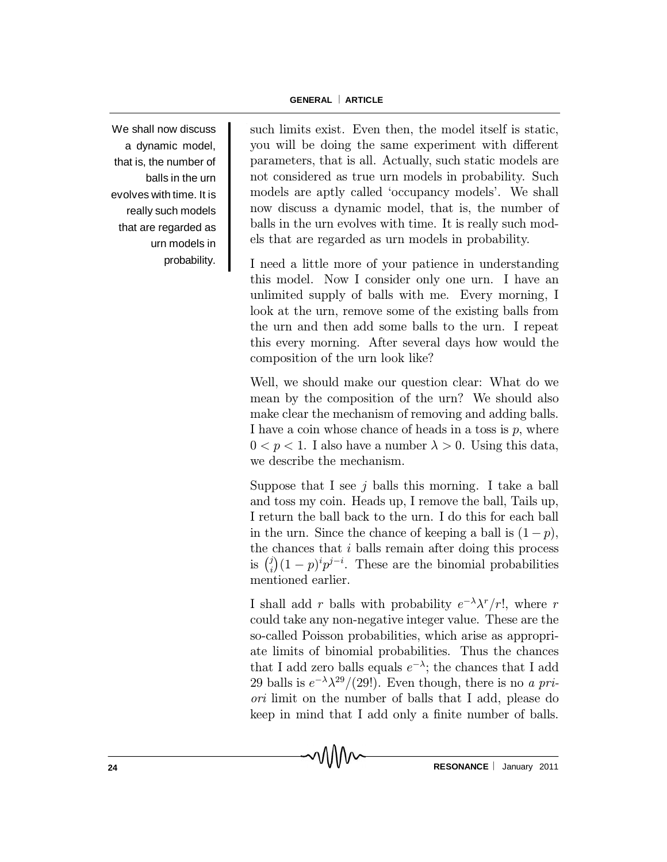We shall now discuss a dynamic model, that is, the number of balls in the urn evolves with time. It is really such models that are regarded as urn models in probability. such limits exist. Even then, the model itself is static, you will be doing the same experiment with different parameters, that is all. Actually, such static models are not considered as true urn models in probability. Such models are aptly called `occupancy models'. We shall now discuss a dynamic model, that is, the number of balls in the urn evolves with time. It is really such models that are regarded as urn models in probability.

I need a little more of your patience in understanding this model. Now I consider only one urn. I have an unlimited supply of balls with me. Every morning, I look at the urn, remove some of the existing balls from the urn and then add some balls to the urn. I repeat this every morning. After several days how would the composition of the urn look like?

Well, we should make our question clear: What do we mean by the composition of the urn? We should also make clear the mechanism of removing and adding balls. I have a coin whose chance of heads in a toss is  $p$ , where  $0 < p < 1$ . I also have a number  $\lambda > 0$ . Using this data, we describe the mechanism.

Suppose that I see  $j$  balls this morning. I take a ball and toss my coin. Heads up, I remove the ball, Tails up, I return the ball back to the urn. I do this for each ball in the urn. Since the chance of keeping a ball is  $(1 - p)$ , the chances that i balls remain after doing this process is  $\binom{j}{i}$  $\psi_i^j(1-p)^ip^{j-i}$ . These are the binomial probabilities mentioned earlier.

I shall add r balls with probability  $e^{-\lambda} \lambda^r / r!$ , where r could take any non-negative integer value. These are the so-called Poisson probabilities, which arise as appropriate limits of binomial probabilities. Thus the chances that I add zero balls equals  $e^{-\lambda}$ ; the chances that I add 29 balls is  $e^{-\lambda} \lambda^{29} / (29!)$ . Even though, there is no a priori limit on the number of balls that I add, please do keep in mind that I add only a finite number of balls.

า\\\\∧∼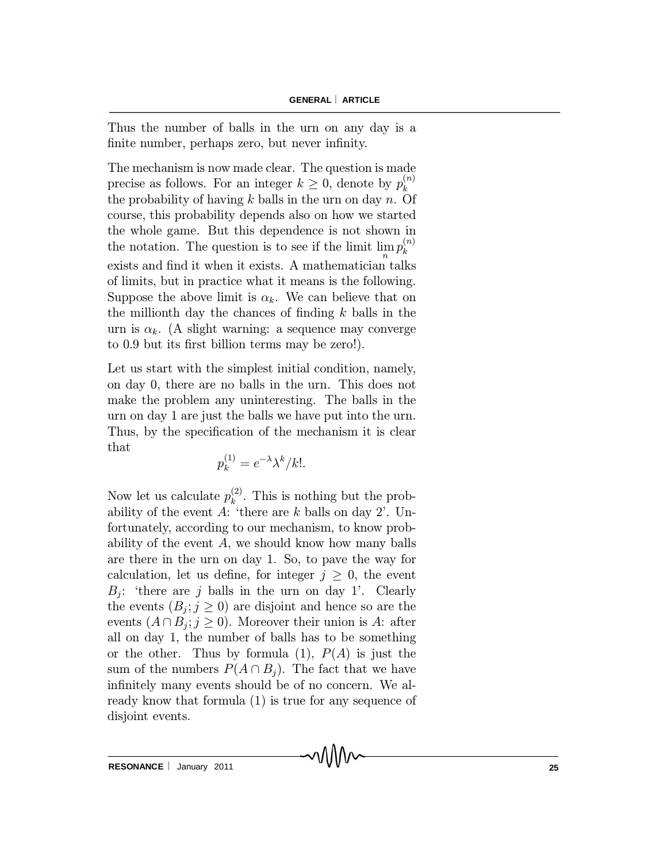Thus the number of balls in the urn on any day is a finite number, perhaps zero, but never infinity.

The mechanism is now made clear. The question is made precise as follows. For an integer  $k \geq 0$ , denote by  $p_k^{(n)}$ k the probability of having  $k$  balls in the urn on day  $n$ . Of course, this probability depends also on how we started the whole game. But this dependence is not shown in the notation. The question is to see if the limit  $\lim_{n} p_k^{(n)}$ k exists and find it when it exists. A mathematician talks of limits, but in practice what it means is the following. Suppose the above limit is  $\alpha_k$ . We can believe that on the millionth day the chances of finding  $k$  balls in the urn is  $\alpha_k$ . (A slight warning: a sequence may converge to 0.9 but its first billion terms may be zero!).

Let us start with the simplest initial condition, namely, on day 0, there are no balls in the urn. This does not make the problem any uninteresting. The balls in the urn on day 1 are just the balls we have put into the urn. Thus, by the specification of the mechanism it is clear that

$$
p_k^{(1)} = e^{-\lambda} \lambda^k / k!.
$$

Now let us calculate  $p_k^{(2)}$  $\binom{2}{k}$ . This is nothing but the probability of the event A: 'there are k balls on day 2'. Unfortunately, according to our mechanism, to know probability of the event  $A$ , we should know how many balls are there in the urn on day 1. So, to pave the way for calculation, let us define, for integer  $j \geq 0$ , the event  $B_j$ : 'there are j balls in the urn on day 1'. Clearly the events  $(B_j; j \geq 0)$  are disjoint and hence so are the events  $(A \cap B_j; j \ge 0)$ . Moreover their union is A: after all on day 1, the number of balls has to be something or the other. Thus by formula (1),  $P(A)$  is just the sum of the numbers  $P(A \cap B_i)$ . The fact that we have infinitely many events should be of no concern. We already know that formula (1) is true for any sequence of disjoint events.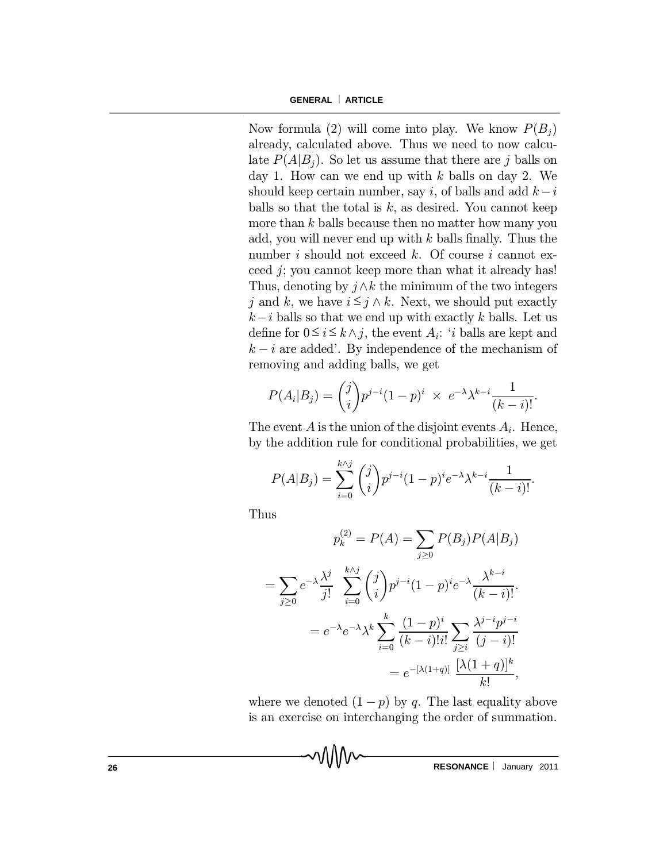Now formula (2) will come into play. We know  $P(B_i)$ already, calculated above. Thus we need to now calculate  $P(A|B_i)$ . So let us assume that there are j balls on day 1. How can we end up with  $k$  balls on day 2. We should keep certain number, say i, of balls and add  $k-i$ balls so that the total is  $k$ , as desired. You cannot keep more than  $k$  balls because then no matter how many you add, you will never end up with  $k$  balls finally. Thus the number i should not exceed k. Of course i cannot exceed j; you cannot keep more than what it already has! Thus, denoting by  $j \wedge k$  the minimum of the two integers j and k, we have  $i \leq j \wedge k$ . Next, we should put exactly  $k-i$  balls so that we end up with exactly k balls. Let us define for  $0 \le i \le k \wedge j$ , the event  $A_i$ : 'i balls are kept and  $k - i$  are added'. By independence of the mechanism of removing and adding balls, we get

$$
P(A_i|B_j) = {j \choose i} p^{j-i} (1-p)^i \times e^{-\lambda} \lambda^{k-i} \frac{1}{(k-i)!}.
$$

The event  $A$  is the union of the disjoint events  $A_i$ . Hence, by the addition rule for conditional probabilities, we get

$$
P(A|B_j) = \sum_{i=0}^{k \wedge j} {j \choose i} p^{j-i} (1-p)^i e^{-\lambda} \lambda^{k-i} \frac{1}{(k-i)!}.
$$

Thus

$$
p_k^{(2)} = P(A) = \sum_{j\geq 0} P(B_j) P(A|B_j)
$$
  
= 
$$
\sum_{j\geq 0} e^{-\lambda} \frac{\lambda^j}{j!} \sum_{i=0}^{k \wedge j} {j \choose i} p^{j-i} (1-p)^i e^{-\lambda} \frac{\lambda^{k-i}}{(k-i)!}
$$
  
= 
$$
e^{-\lambda} e^{-\lambda} \lambda^k \sum_{i=0}^k \frac{(1-p)^i}{(k-i)!i!} \sum_{j\geq i} \frac{\lambda^{j-i} p^{j-i}}{(j-i)!}
$$
  
= 
$$
e^{-[\lambda(1+q)]} \frac{[\lambda(1+q)]^k}{k!},
$$

where we denoted  $(1 - p)$  by q. The last equality above is an exercise on interchanging the order of summation.

**26 RESONANCE**  $\vert$  January 2011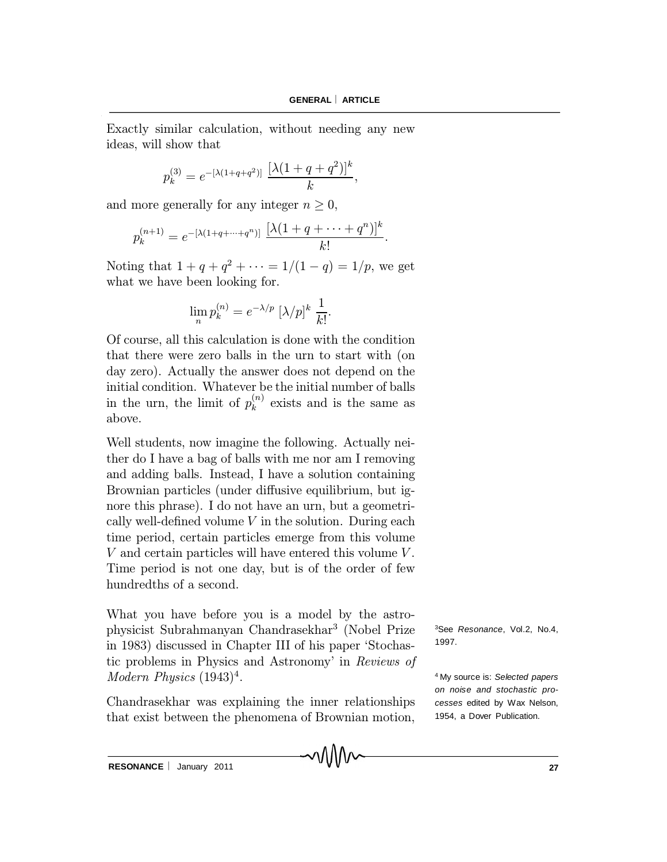:

Exactly similar calculation, without needing any new ideas, will show that

$$
p_k^{(3)} = e^{-\left[\lambda(1+q+q^2)\right]} \frac{\left[\lambda(1+q+q^2)\right]^k}{k},
$$

and more generally for any integer  $n \geq 0$ ,

$$
p_k^{(n+1)} = e^{-\left[\lambda(1+q+\cdots+q^n)\right]} \frac{\left[\lambda(1+q+\cdots+q^n)\right]^k}{k!}
$$

Noting that  $1 + q + q^2 + \cdots = 1/(1 - q) = 1/p$ , we get what we have been looking for.

$$
\lim_{n} p_k^{(n)} = e^{-\lambda/p} \left[\lambda/p\right]^k \frac{1}{k!}.
$$

Of course, all this calculation is done with the condition that there were zero balls in the urn to start with (on day zero). Actually the answer does not depend on the initial condition. Whatever be the initial number of balls in the urn, the limit of  $p_k^{(n)}$  $\kappa^{(n)}$  exists and is the same as above.

Well students, now imagine the following. Actually neither do I have a bag of balls with me nor am I removing and adding balls. Instead, I have a solution containing Brownian particles (under diffusive equilibrium, but ignore this phrase). I do not have an urn, but a geometrically well-defined volume  $V$  in the solution. During each time period, certain particles emerge from this volume V and certain particles will have entered this volume V . Time period is not one day, but is of the order of few hundredths of a second.

What you have before you is a model by the astrophysicist Subrahmanyan Chandrasekhar 3 (Nobel Prize in 1983) discussed in Chapter III of his paper `Stochastic problems in Physics and Astronomy' in Reviews of Modern Physics  $(1943)^4$ .

Chandrasekhar was explaining the inner relationships that exist between the phenomena of Brownian motion, <sup>3</sup>See *Resonance*, Vol.2, No.4, 1997.

<sup>4</sup> My source is: *Selected papers on noise and stochastic processes* edited by Wax Nelson, 1954, a Dover Publication.